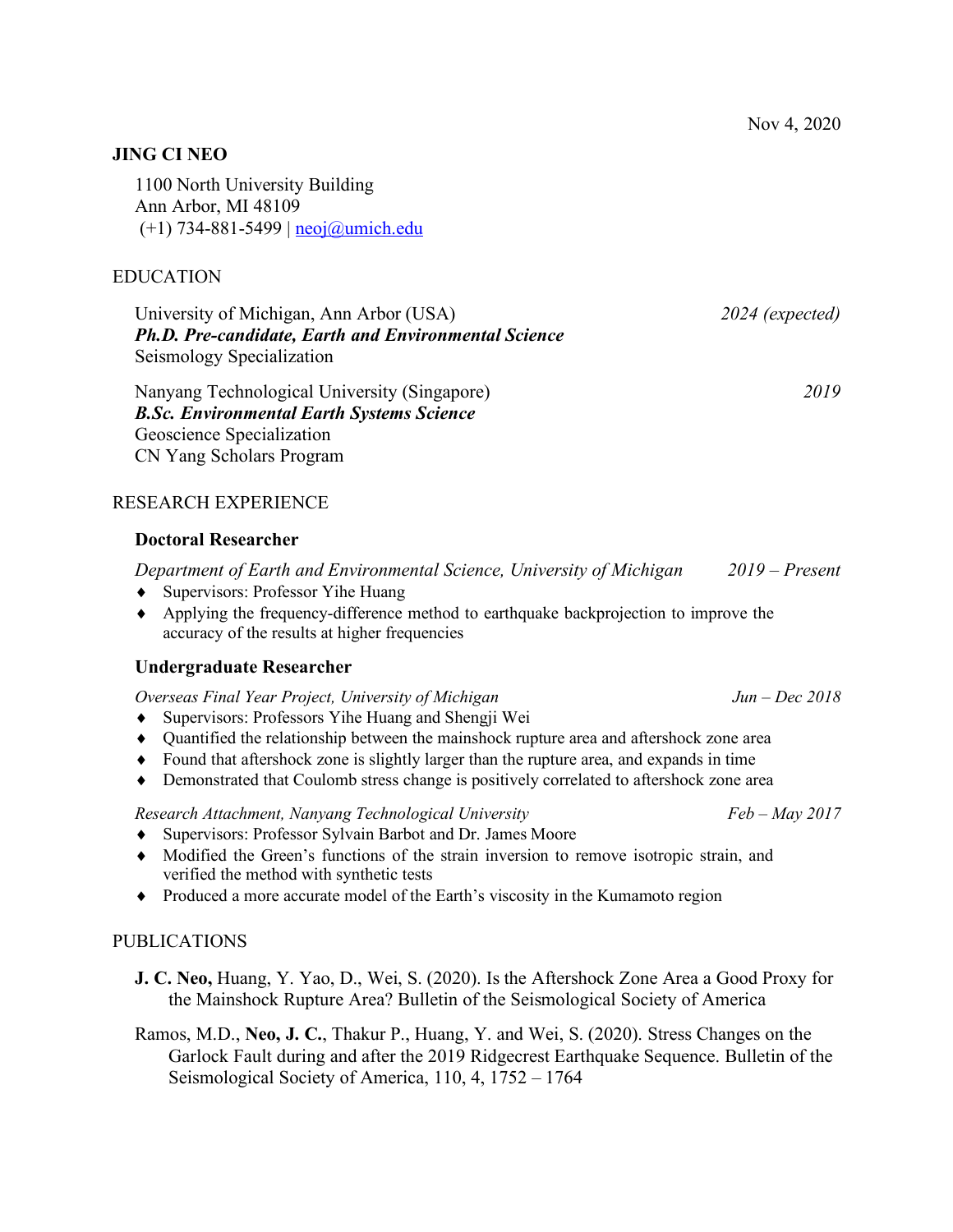## **JING CI NEO**

1100 North University Building Ann Arbor, MI 48109  $(+1)$  734-881-5499 | neoj $@$ umich.edu

### EDUCATION

University of Michigan, Ann Arbor (USA) *2024 (expected) Ph.D. Pre-candidate, Earth and Environmental Science* Seismology Specialization

Nanyang Technological University (Singapore) *2019 B.Sc. Environmental Earth Systems Science* Geoscience Specialization CN Yang Scholars Program

### RESEARCH EXPERIENCE

# **Doctoral Researcher**

*Department of Earth and Environmental Science, University of Michigan 2019 – Present*

- ◆ Supervisors: Professor Yihe Huang
- Applying the frequency-difference method to earthquake backprojection to improve the accuracy of the results at higher frequencies

#### **Undergraduate Researcher**

*Overseas Final Year Project, University of Michigan Jun – Dec 2018*

- Supervisors: Professors Yihe Huang and Shengji Wei
- Quantified the relationship between the mainshock rupture area and aftershock zone area
- Found that aftershock zone is slightly larger than the rupture area, and expands in time
- Demonstrated that Coulomb stress change is positively correlated to aftershock zone area

### *Research Attachment, Nanyang Technological University Feb – May 2017*

- ◆ Supervisors: Professor Sylvain Barbot and Dr. James Moore
- Modified the Green's functions of the strain inversion to remove isotropic strain, and verified the method with synthetic tests
- Produced a more accurate model of the Earth's viscosity in the Kumamoto region

#### PUBLICATIONS

- **J. C. Neo,** Huang, Y. Yao, D., Wei, S. (2020). Is the Aftershock Zone Area a Good Proxy for the Mainshock Rupture Area? Bulletin of the Seismological Society of America
- Ramos, M.D., **Neo, J. C.**, Thakur P., Huang, Y. and Wei, S. (2020). Stress Changes on the Garlock Fault during and after the 2019 Ridgecrest Earthquake Sequence. Bulletin of the Seismological Society of America, 110, 4, 1752 – 1764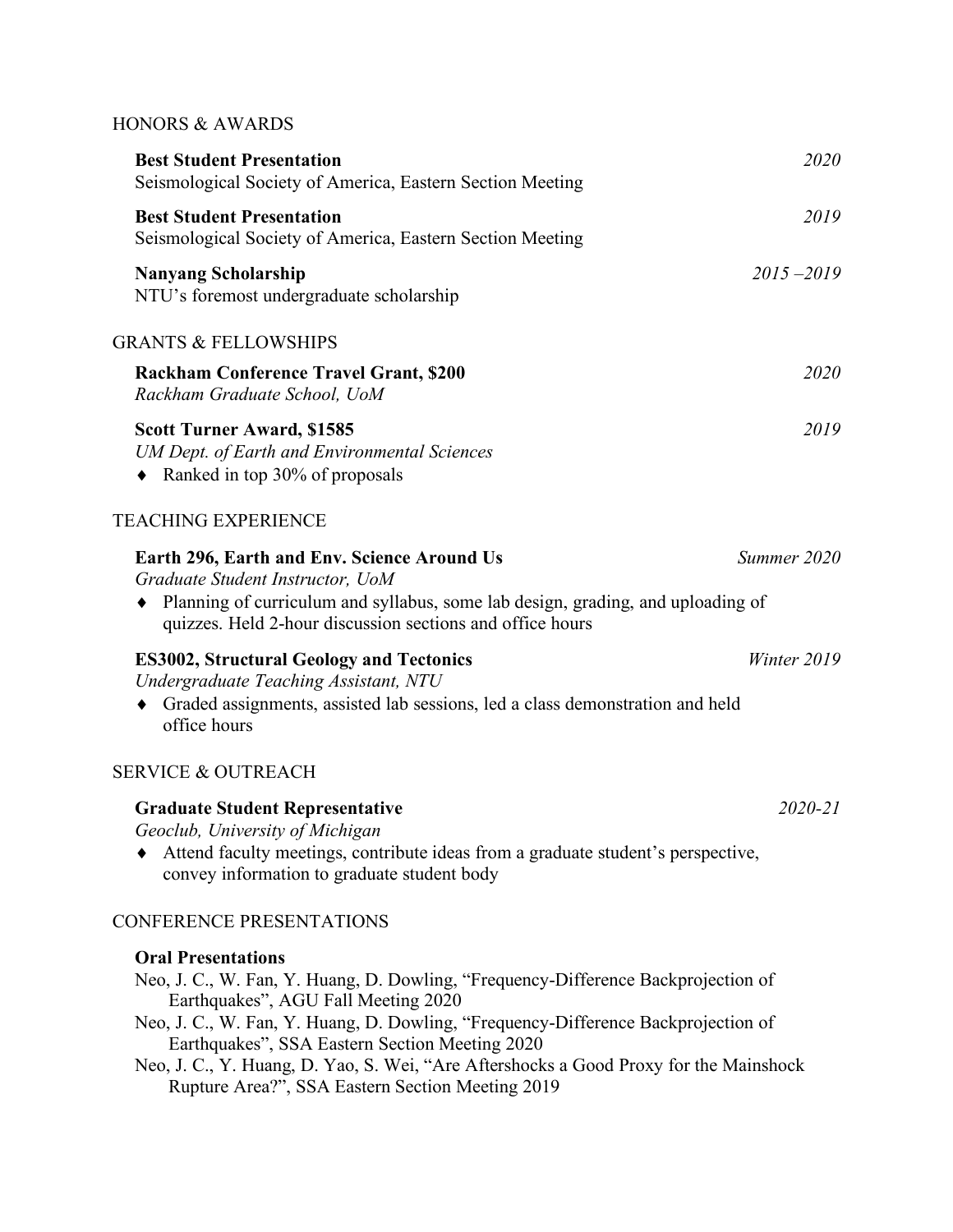# HONORS & AWARDS

| <b>Best Student Presentation</b><br>Seismological Society of America, Eastern Section Meeting                                                                                                                                                                                                                                                                                                                                             | 2020          |
|-------------------------------------------------------------------------------------------------------------------------------------------------------------------------------------------------------------------------------------------------------------------------------------------------------------------------------------------------------------------------------------------------------------------------------------------|---------------|
| <b>Best Student Presentation</b><br>Seismological Society of America, Eastern Section Meeting                                                                                                                                                                                                                                                                                                                                             | 2019          |
| <b>Nanyang Scholarship</b><br>NTU's foremost undergraduate scholarship                                                                                                                                                                                                                                                                                                                                                                    | $2015 - 2019$ |
| <b>GRANTS &amp; FELLOWSHIPS</b>                                                                                                                                                                                                                                                                                                                                                                                                           |               |
| <b>Rackham Conference Travel Grant, \$200</b><br>Rackham Graduate School, UoM                                                                                                                                                                                                                                                                                                                                                             | 2020          |
| <b>Scott Turner Award, \$1585</b><br><b>UM Dept. of Earth and Environmental Sciences</b><br>• Ranked in top 30% of proposals                                                                                                                                                                                                                                                                                                              | 2019          |
| <b>TEACHING EXPERIENCE</b>                                                                                                                                                                                                                                                                                                                                                                                                                |               |
| Earth 296, Earth and Env. Science Around Us<br>Graduate Student Instructor, UoM<br>Planning of curriculum and syllabus, some lab design, grading, and uploading of<br>٠<br>quizzes. Held 2-hour discussion sections and office hours                                                                                                                                                                                                      | Summer 2020   |
| <b>ES3002, Structural Geology and Tectonics</b><br>Undergraduate Teaching Assistant, NTU<br>Graded assignments, assisted lab sessions, led a class demonstration and held<br>٠<br>office hours                                                                                                                                                                                                                                            | Winter 2019   |
| <b>SERVICE &amp; OUTREACH</b>                                                                                                                                                                                                                                                                                                                                                                                                             |               |
| <b>Graduate Student Representative</b><br>Geoclub, University of Michigan<br>Attend faculty meetings, contribute ideas from a graduate student's perspective,<br>convey information to graduate student body                                                                                                                                                                                                                              | $2020 - 21$   |
| <b>CONFERENCE PRESENTATIONS</b>                                                                                                                                                                                                                                                                                                                                                                                                           |               |
| <b>Oral Presentations</b><br>Neo, J. C., W. Fan, Y. Huang, D. Dowling, "Frequency-Difference Backprojection of<br>Earthquakes", AGU Fall Meeting 2020<br>Neo, J. C., W. Fan, Y. Huang, D. Dowling, "Frequency-Difference Backprojection of<br>Earthquakes", SSA Eastern Section Meeting 2020<br>Neo, J. C., Y. Huang, D. Yao, S. Wei, "Are Aftershocks a Good Proxy for the Mainshock<br>Rupture Area?", SSA Eastern Section Meeting 2019 |               |